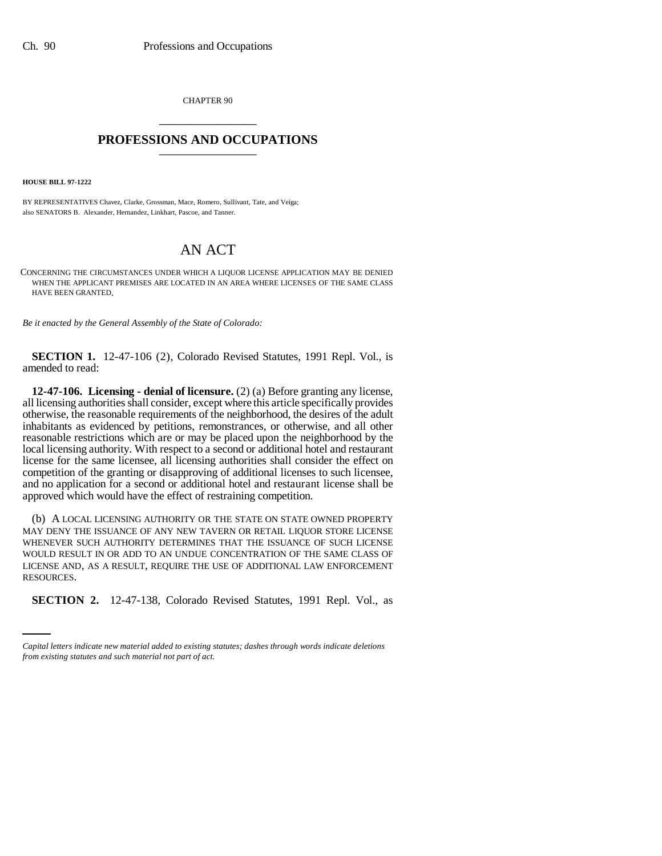CHAPTER 90 \_\_\_\_\_\_\_\_\_\_\_\_\_\_\_

## **PROFESSIONS AND OCCUPATIONS** \_\_\_\_\_\_\_\_\_\_\_\_\_\_\_

**HOUSE BILL 97-1222**

BY REPRESENTATIVES Chavez, Clarke, Grossman, Mace, Romero, Sullivant, Tate, and Veiga; also SENATORS B. Alexander, Hernandez, Linkhart, Pascoe, and Tanner.

## AN ACT

CONCERNING THE CIRCUMSTANCES UNDER WHICH A LIQUOR LICENSE APPLICATION MAY BE DENIED WHEN THE APPLICANT PREMISES ARE LOCATED IN AN AREA WHERE LICENSES OF THE SAME CLASS HAVE BEEN GRANTED.

*Be it enacted by the General Assembly of the State of Colorado:*

**SECTION 1.** 12-47-106 (2), Colorado Revised Statutes, 1991 Repl. Vol., is amended to read:

**12-47-106. Licensing - denial of licensure.** (2) (a) Before granting any license, all licensing authorities shall consider, except where this article specifically provides otherwise, the reasonable requirements of the neighborhood, the desires of the adult inhabitants as evidenced by petitions, remonstrances, or otherwise, and all other reasonable restrictions which are or may be placed upon the neighborhood by the local licensing authority. With respect to a second or additional hotel and restaurant license for the same licensee, all licensing authorities shall consider the effect on competition of the granting or disapproving of additional licenses to such licensee, and no application for a second or additional hotel and restaurant license shall be approved which would have the effect of restraining competition.

RESOURCES. (b) A LOCAL LICENSING AUTHORITY OR THE STATE ON STATE OWNED PROPERTY MAY DENY THE ISSUANCE OF ANY NEW TAVERN OR RETAIL LIQUOR STORE LICENSE WHENEVER SUCH AUTHORITY DETERMINES THAT THE ISSUANCE OF SUCH LICENSE WOULD RESULT IN OR ADD TO AN UNDUE CONCENTRATION OF THE SAME CLASS OF LICENSE AND, AS A RESULT, REQUIRE THE USE OF ADDITIONAL LAW ENFORCEMENT

**SECTION 2.** 12-47-138, Colorado Revised Statutes, 1991 Repl. Vol., as

*Capital letters indicate new material added to existing statutes; dashes through words indicate deletions from existing statutes and such material not part of act.*